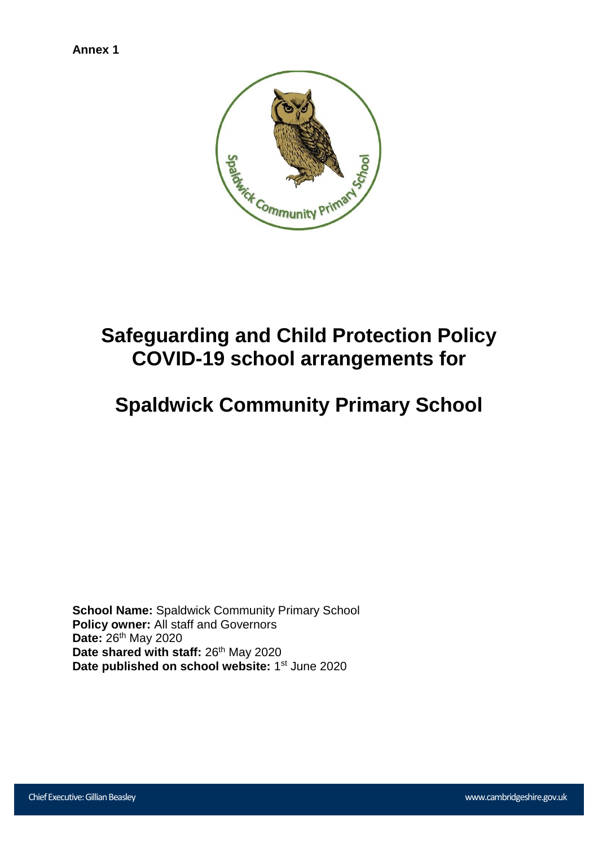

# **Safeguarding and Child Protection Policy COVID-19 school arrangements for**

# **Spaldwick Community Primary School**

**School Name:** Spaldwick Community Primary School **Policy owner:** All staff and Governors **Date:** 26th May 2020 Date shared with staff: 26<sup>th</sup> May 2020 Date published on school website: 1<sup>st</sup> June 2020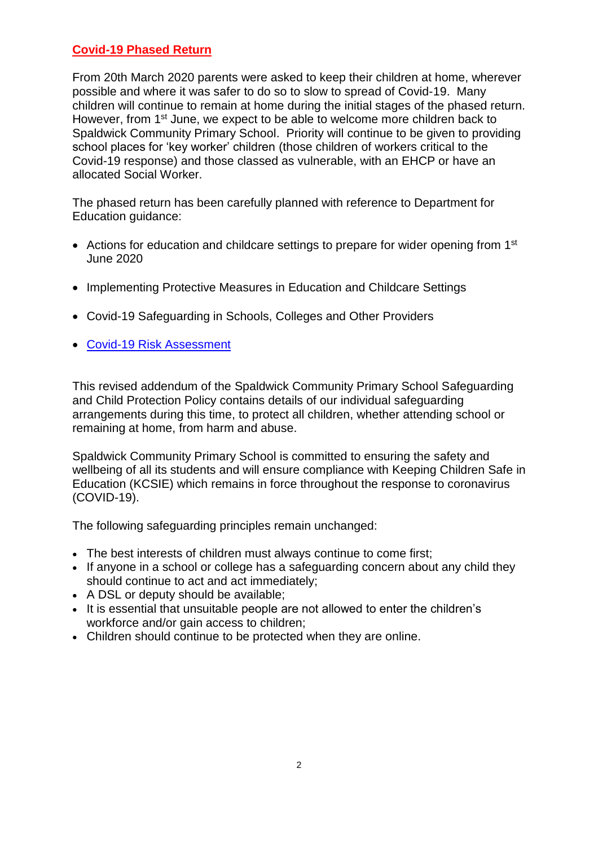## **Covid-19 Phased Return**

From 20th March 2020 parents were asked to keep their children at home, wherever possible and where it was safer to do so to slow to spread of Covid-19. Many children will continue to remain at home during the initial stages of the phased return. However, from 1<sup>st</sup> June, we expect to be able to welcome more children back to Spaldwick Community Primary School. Priority will continue to be given to providing school places for 'key worker' children (those children of workers critical to the Covid-19 response) and those classed as vulnerable, with an EHCP or have an allocated Social Worker.

The phased return has been carefully planned with reference to Department for Education guidance:

- Actions for education and childcare settings to prepare for wider opening from 1<sup>st</sup> June 2020
- Implementing Protective Measures in Education and Childcare Settings
- Covid-19 Safeguarding in Schools, Colleges and Other Providers
- [Covid-19 Risk Assessment](file://///2222srv001/staff$/lworrell/Documents/Coronavirus/Policies%20&%20Documents/COVID-19%20risk%20assessment.doc)

This revised addendum of the Spaldwick Community Primary School Safeguarding and Child Protection Policy contains details of our individual safeguarding arrangements during this time, to protect all children, whether attending school or remaining at home, from harm and abuse.

Spaldwick Community Primary School is committed to ensuring the safety and wellbeing of all its students and will ensure compliance with Keeping Children Safe in Education (KCSIE) which remains in force throughout the response to coronavirus (COVID-19).

The following safeguarding principles remain unchanged:

- The best interests of children must always continue to come first;
- If anyone in a school or college has a safeguarding concern about any child they should continue to act and act immediately;
- A DSL or deputy should be available;
- It is essential that unsuitable people are not allowed to enter the children's workforce and/or gain access to children;
- Children should continue to be protected when they are online.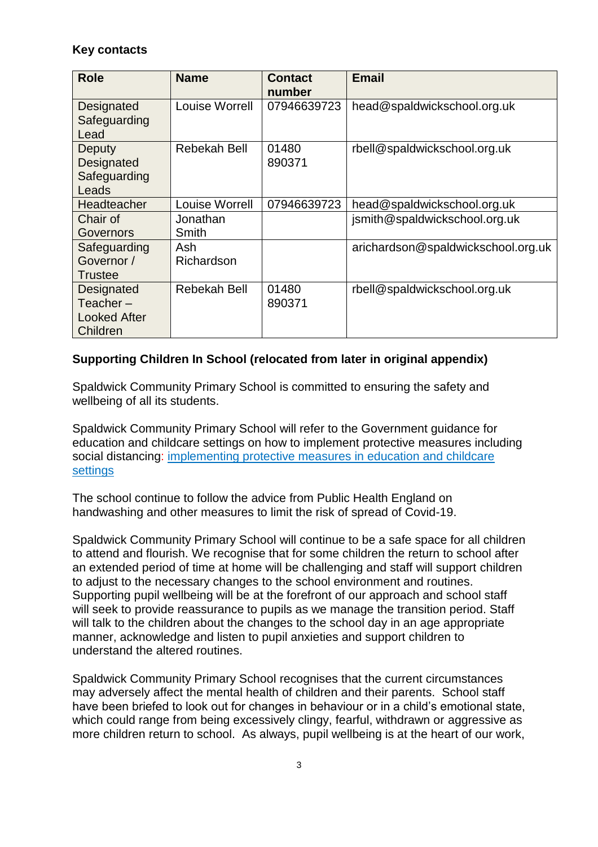## **Key contacts**

| <b>Role</b>         | <b>Name</b>    | <b>Contact</b> | <b>Email</b>                       |
|---------------------|----------------|----------------|------------------------------------|
|                     |                | number         |                                    |
| Designated          | Louise Worrell | 07946639723    | head@spaldwickschool.org.uk        |
| Safeguarding        |                |                |                                    |
| Lead                |                |                |                                    |
| Deputy              | Rebekah Bell   | 01480          | rbell@spaldwickschool.org.uk       |
| Designated          |                | 890371         |                                    |
| Safeguarding        |                |                |                                    |
| Leads               |                |                |                                    |
| Headteacher         | Louise Worrell | 07946639723    | head@spaldwickschool.org.uk        |
| Chair of            | Jonathan       |                | jsmith@spaldwickschool.org.uk      |
| Governors           | Smith          |                |                                    |
| Safeguarding        | Ash            |                | arichardson@spaldwickschool.org.uk |
| Governor /          | Richardson     |                |                                    |
| Trustee             |                |                |                                    |
| Designated          | Rebekah Bell   | 01480          | rbell@spaldwickschool.org.uk       |
| Teacher $-$         |                | 890371         |                                    |
| <b>Looked After</b> |                |                |                                    |
| Children            |                |                |                                    |

# **Supporting Children In School (relocated from later in original appendix)**

Spaldwick Community Primary School is committed to ensuring the safety and wellbeing of all its students.

Spaldwick Community Primary School will refer to the Government guidance for education and childcare settings on how to implement protective measures including social distancing: [implementing protective measures in education and childcare](https://www.gov.uk/government/publications/coronavirus-covid-19-implementing-protective-measures-in-education-and-childcare-settings)  [settings](https://www.gov.uk/government/publications/coronavirus-covid-19-implementing-protective-measures-in-education-and-childcare-settings)

The school continue to follow the advice from Public Health England on handwashing and other measures to limit the risk of spread of Covid-19.

Spaldwick Community Primary School will continue to be a safe space for all children to attend and flourish. We recognise that for some children the return to school after an extended period of time at home will be challenging and staff will support children to adjust to the necessary changes to the school environment and routines. Supporting pupil wellbeing will be at the forefront of our approach and school staff will seek to provide reassurance to pupils as we manage the transition period. Staff will talk to the children about the changes to the school day in an age appropriate manner, acknowledge and listen to pupil anxieties and support children to understand the altered routines.

Spaldwick Community Primary School recognises that the current circumstances may adversely affect the mental health of children and their parents. School staff have been briefed to look out for changes in behaviour or in a child's emotional state, which could range from being excessively clingy, fearful, withdrawn or aggressive as more children return to school. As always, pupil wellbeing is at the heart of our work,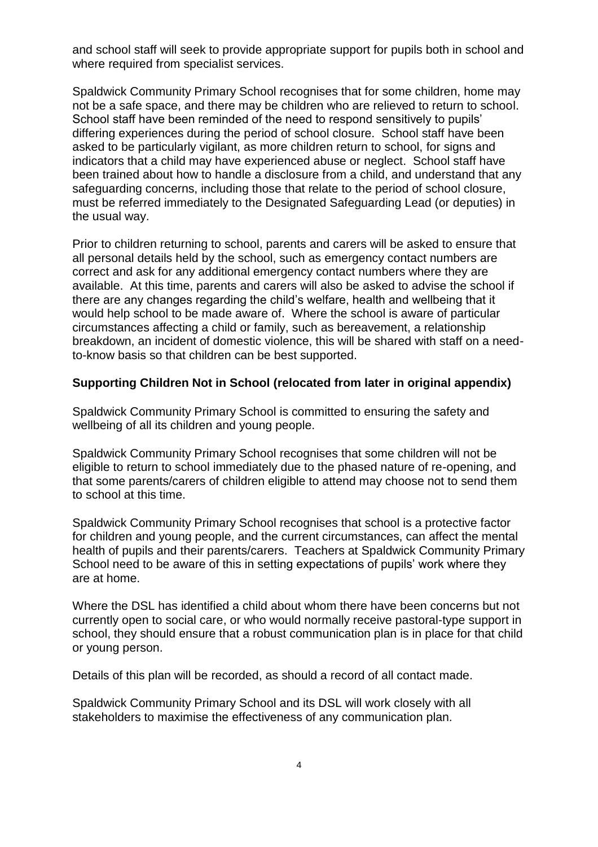and school staff will seek to provide appropriate support for pupils both in school and where required from specialist services.

Spaldwick Community Primary School recognises that for some children, home may not be a safe space, and there may be children who are relieved to return to school. School staff have been reminded of the need to respond sensitively to pupils' differing experiences during the period of school closure. School staff have been asked to be particularly vigilant, as more children return to school, for signs and indicators that a child may have experienced abuse or neglect. School staff have been trained about how to handle a disclosure from a child, and understand that any safeguarding concerns, including those that relate to the period of school closure, must be referred immediately to the Designated Safeguarding Lead (or deputies) in the usual way.

Prior to children returning to school, parents and carers will be asked to ensure that all personal details held by the school, such as emergency contact numbers are correct and ask for any additional emergency contact numbers where they are available. At this time, parents and carers will also be asked to advise the school if there are any changes regarding the child's welfare, health and wellbeing that it would help school to be made aware of. Where the school is aware of particular circumstances affecting a child or family, such as bereavement, a relationship breakdown, an incident of domestic violence, this will be shared with staff on a needto-know basis so that children can be best supported.

### **Supporting Children Not in School (relocated from later in original appendix)**

Spaldwick Community Primary School is committed to ensuring the safety and wellbeing of all its children and young people.

Spaldwick Community Primary School recognises that some children will not be eligible to return to school immediately due to the phased nature of re-opening, and that some parents/carers of children eligible to attend may choose not to send them to school at this time.

Spaldwick Community Primary School recognises that school is a protective factor for children and young people, and the current circumstances, can affect the mental health of pupils and their parents/carers. Teachers at Spaldwick Community Primary School need to be aware of this in setting expectations of pupils' work where they are at home.

Where the DSL has identified a child about whom there have been concerns but not currently open to social care, or who would normally receive pastoral-type support in school, they should ensure that a robust communication plan is in place for that child or young person.

Details of this plan will be recorded, as should a record of all contact made.

Spaldwick Community Primary School and its DSL will work closely with all stakeholders to maximise the effectiveness of any communication plan.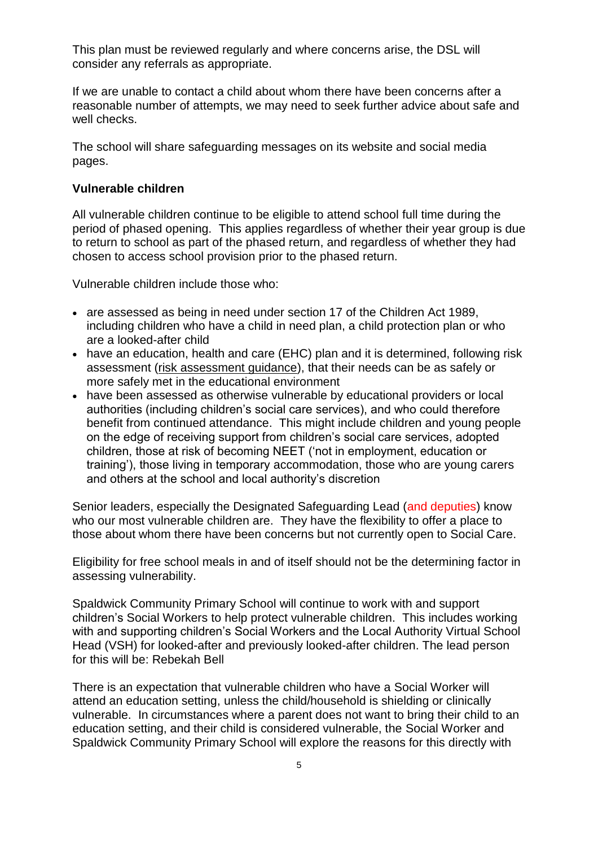This plan must be reviewed regularly and where concerns arise, the DSL will consider any referrals as appropriate.

If we are unable to contact a child about whom there have been concerns after a reasonable number of attempts, we may need to seek further advice about safe and well checks.

The school will share safeguarding messages on its website and social media pages.

#### **Vulnerable children**

All vulnerable children continue to be eligible to attend school full time during the period of phased opening. This applies regardless of whether their year group is due to return to school as part of the phased return, and regardless of whether they had chosen to access school provision prior to the phased return.

Vulnerable children include those who:

- are assessed as being in need under section 17 of the Children Act 1989, including children who have a child in need plan, a child protection plan or who are a looked-after child
- have an education, health and care (EHC) plan and it is determined, following risk assessment [\(risk assessment guidance\)](https://www.gov.uk/government/publications/coronavirus-covid-19-send-risk-assessment-guidance/coronavirus-covid-19-send-risk-assessment-guidance), that their needs can be as safely or more safely met in the educational environment
- have been assessed as otherwise vulnerable by educational providers or local authorities (including children's social care services), and who could therefore benefit from continued attendance. This might include children and young people on the edge of receiving support from children's social care services, adopted children, those at risk of becoming NEET ('not in employment, education or training'), those living in temporary accommodation, those who are young carers and others at the school and local authority's discretion

Senior leaders, especially the Designated Safeguarding Lead (and deputies) know who our most vulnerable children are. They have the flexibility to offer a place to those about whom there have been concerns but not currently open to Social Care.

Eligibility for free school meals in and of itself should not be the determining factor in assessing vulnerability.

Spaldwick Community Primary School will continue to work with and support children's Social Workers to help protect vulnerable children. This includes working with and supporting children's Social Workers and the Local Authority Virtual School Head (VSH) for looked-after and previously looked-after children. The lead person for this will be: Rebekah Bell

There is an expectation that vulnerable children who have a Social Worker will attend an education setting, unless the child/household is shielding or clinically vulnerable. In circumstances where a parent does not want to bring their child to an education setting, and their child is considered vulnerable, the Social Worker and Spaldwick Community Primary School will explore the reasons for this directly with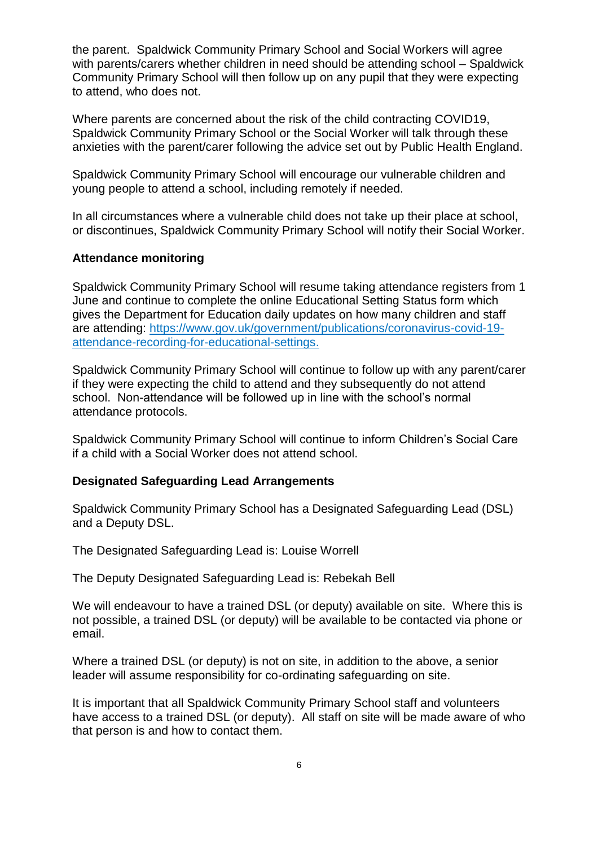the parent. Spaldwick Community Primary School and Social Workers will agree with parents/carers whether children in need should be attending school – Spaldwick Community Primary School will then follow up on any pupil that they were expecting to attend, who does not.

Where parents are concerned about the risk of the child contracting COVID19, Spaldwick Community Primary School or the Social Worker will talk through these anxieties with the parent/carer following the advice set out by Public Health England.

Spaldwick Community Primary School will encourage our vulnerable children and young people to attend a school, including remotely if needed.

In all circumstances where a vulnerable child does not take up their place at school, or discontinues, Spaldwick Community Primary School will notify their Social Worker.

### **Attendance monitoring**

Spaldwick Community Primary School will resume taking attendance registers from 1 June and continue to complete the online Educational Setting Status form which gives the Department for Education daily updates on how many children and staff are attending: [https://www.gov.uk/government/publications/coronavirus-covid-19](https://www.gov.uk/government/publications/coronavirus-covid-19-attendance-recording-for-educational-settings) [attendance-recording-for-educational-settings.](https://www.gov.uk/government/publications/coronavirus-covid-19-attendance-recording-for-educational-settings)

Spaldwick Community Primary School will continue to follow up with any parent/carer if they were expecting the child to attend and they subsequently do not attend school. Non-attendance will be followed up in line with the school's normal attendance protocols.

Spaldwick Community Primary School will continue to inform Children's Social Care if a child with a Social Worker does not attend school.

#### **Designated Safeguarding Lead Arrangements**

Spaldwick Community Primary School has a Designated Safeguarding Lead (DSL) and a Deputy DSL.

The Designated Safeguarding Lead is: Louise Worrell

The Deputy Designated Safeguarding Lead is: Rebekah Bell

We will endeavour to have a trained DSL (or deputy) available on site. Where this is not possible, a trained DSL (or deputy) will be available to be contacted via phone or email.

Where a trained DSL (or deputy) is not on site, in addition to the above, a senior leader will assume responsibility for co-ordinating safeguarding on site.

It is important that all Spaldwick Community Primary School staff and volunteers have access to a trained DSL (or deputy). All staff on site will be made aware of who that person is and how to contact them.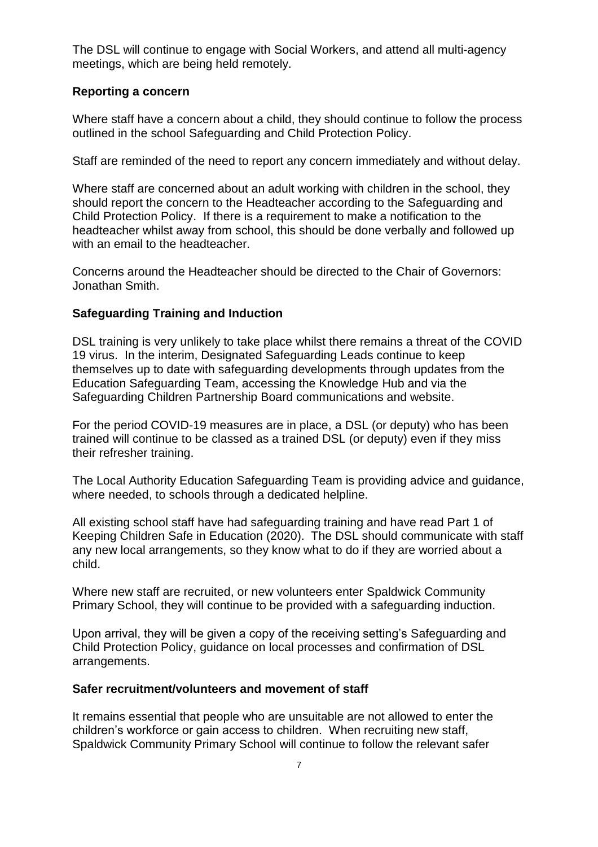The DSL will continue to engage with Social Workers, and attend all multi-agency meetings, which are being held remotely.

## **Reporting a concern**

Where staff have a concern about a child, they should continue to follow the process outlined in the school Safeguarding and Child Protection Policy.

Staff are reminded of the need to report any concern immediately and without delay.

Where staff are concerned about an adult working with children in the school, they should report the concern to the Headteacher according to the Safeguarding and Child Protection Policy. If there is a requirement to make a notification to the headteacher whilst away from school, this should be done verbally and followed up with an email to the headteacher.

Concerns around the Headteacher should be directed to the Chair of Governors: Jonathan Smith.

## **Safeguarding Training and Induction**

DSL training is very unlikely to take place whilst there remains a threat of the COVID 19 virus. In the interim, Designated Safeguarding Leads continue to keep themselves up to date with safeguarding developments through updates from the Education Safeguarding Team, accessing the Knowledge Hub and via the Safeguarding Children Partnership Board communications and website.

For the period COVID-19 measures are in place, a DSL (or deputy) who has been trained will continue to be classed as a trained DSL (or deputy) even if they miss their refresher training.

The Local Authority Education Safeguarding Team is providing advice and guidance, where needed, to schools through a dedicated helpline.

All existing school staff have had safeguarding training and have read Part 1 of Keeping Children Safe in Education (2020). The DSL should communicate with staff any new local arrangements, so they know what to do if they are worried about a child.

Where new staff are recruited, or new volunteers enter Spaldwick Community Primary School, they will continue to be provided with a safeguarding induction.

Upon arrival, they will be given a copy of the receiving setting's Safeguarding and Child Protection Policy, guidance on local processes and confirmation of DSL arrangements.

#### **Safer recruitment/volunteers and movement of staff**

It remains essential that people who are unsuitable are not allowed to enter the children's workforce or gain access to children. When recruiting new staff, Spaldwick Community Primary School will continue to follow the relevant safer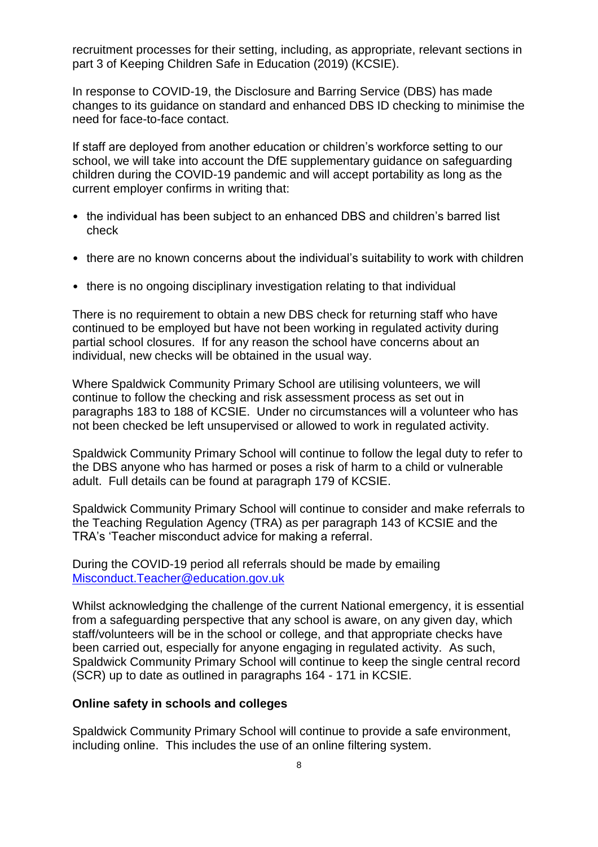recruitment processes for their setting, including, as appropriate, relevant sections in part 3 of Keeping Children Safe in Education (2019) (KCSIE).

In response to COVID-19, the Disclosure and Barring Service (DBS) has made changes to its guidance on standard and enhanced DBS ID checking to minimise the need for face-to-face contact.

If staff are deployed from another education or children's workforce setting to our school, we will take into account the DfE supplementary guidance on safeguarding children during the COVID-19 pandemic and will accept portability as long as the current employer confirms in writing that:

- the individual has been subject to an enhanced DBS and children's barred list check
- there are no known concerns about the individual's suitability to work with children
- there is no ongoing disciplinary investigation relating to that individual

There is no requirement to obtain a new DBS check for returning staff who have continued to be employed but have not been working in regulated activity during partial school closures. If for any reason the school have concerns about an individual, new checks will be obtained in the usual way.

Where Spaldwick Community Primary School are utilising volunteers, we will continue to follow the checking and risk assessment process as set out in paragraphs 183 to 188 of KCSIE. Under no circumstances will a volunteer who has not been checked be left unsupervised or allowed to work in regulated activity.

Spaldwick Community Primary School will continue to follow the legal duty to refer to the DBS anyone who has harmed or poses a risk of harm to a child or vulnerable adult. Full details can be found at paragraph 179 of KCSIE.

Spaldwick Community Primary School will continue to consider and make referrals to the Teaching Regulation Agency (TRA) as per paragraph 143 of KCSIE and the TRA's 'Teacher misconduct advice for making a referral.

During the COVID-19 period all referrals should be made by emailing [Misconduct.Teacher@education.gov.uk](mailto:Misconduct.Teacher@education.gov.uk)

Whilst acknowledging the challenge of the current National emergency, it is essential from a safeguarding perspective that any school is aware, on any given day, which staff/volunteers will be in the school or college, and that appropriate checks have been carried out, especially for anyone engaging in regulated activity. As such, Spaldwick Community Primary School will continue to keep the single central record (SCR) up to date as outlined in paragraphs 164 - 171 in KCSIE.

#### **Online safety in schools and colleges**

Spaldwick Community Primary School will continue to provide a safe environment, including online. This includes the use of an online filtering system.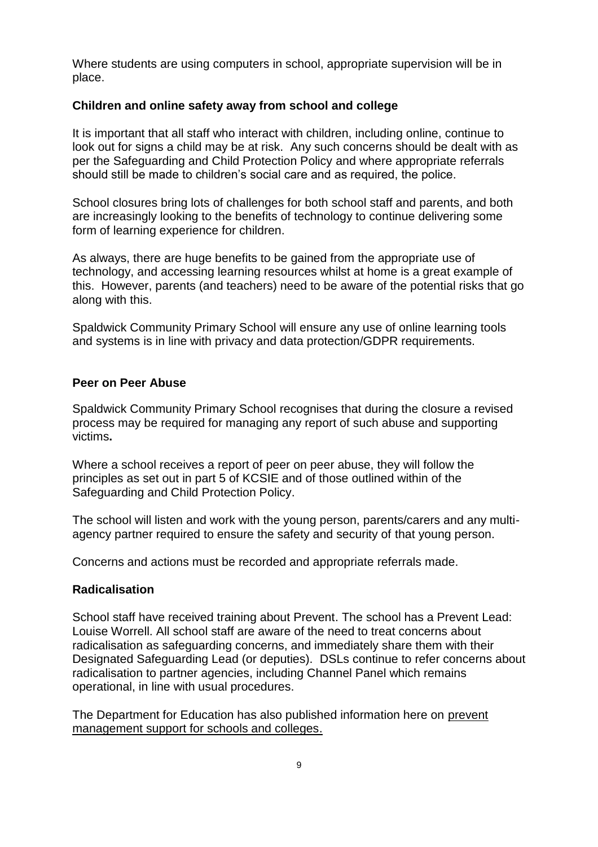Where students are using computers in school, appropriate supervision will be in place.

## **Children and online safety away from school and college**

It is important that all staff who interact with children, including online, continue to look out for signs a child may be at risk. Any such concerns should be dealt with as per the Safeguarding and Child Protection Policy and where appropriate referrals should still be made to children's social care and as required, the police.

School closures bring lots of challenges for both school staff and parents, and both are increasingly looking to the benefits of technology to continue delivering some form of learning experience for children.

As always, there are huge benefits to be gained from the appropriate use of technology, and accessing learning resources whilst at home is a great example of this. However, parents (and teachers) need to be aware of the potential risks that go along with this.

Spaldwick Community Primary School will ensure any use of online learning tools and systems is in line with privacy and data protection/GDPR requirements.

## **Peer on Peer Abuse**

Spaldwick Community Primary School recognises that during the closure a revised process may be required for managing any report of such abuse and supporting victims**.** 

Where a school receives a report of peer on peer abuse, they will follow the principles as set out in part 5 of KCSIE and of those outlined within of the Safeguarding and Child Protection Policy.

The school will listen and work with the young person, parents/carers and any multiagency partner required to ensure the safety and security of that young person.

Concerns and actions must be recorded and appropriate referrals made.

#### **Radicalisation**

School staff have received training about Prevent. The school has a Prevent Lead: Louise Worrell. All school staff are aware of the need to treat concerns about radicalisation as safeguarding concerns, and immediately share them with their Designated Safeguarding Lead (or deputies). DSLs continue to refer concerns about radicalisation to partner agencies, including Channel Panel which remains operational, in line with usual procedures.

The Department for Education has also published information here on [prevent](https://educateagainsthate.com/blog/posts/school-closures-ongoing-prevent-management-support/)  [management support for schools and colleges.](https://educateagainsthate.com/blog/posts/school-closures-ongoing-prevent-management-support/)